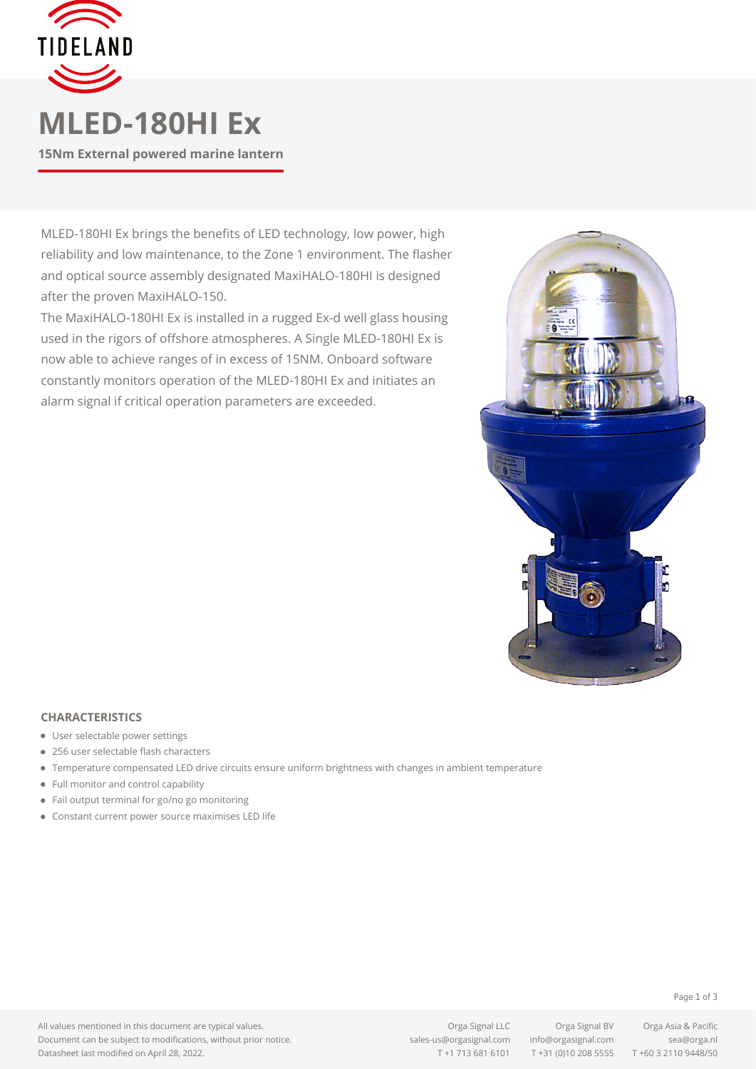

# **MLED-180HI Ex**

**15Nm External powered marine lantern**

MLED-180HI Ex brings the benefits of LED technology, low power, high reliability and low maintenance, to the Zone 1 environment. The flasher and optical source assembly designated MaxiHALO-180HI is designed after the proven MaxiHALO-150.

The MaxiHALO-180HI Ex is installed in a rugged Ex-d well glass housing used in the rigors of offshore atmospheres. A Single MLED-180HI Ex is now able to achieve ranges of in excess of 15NM. Onboard software constantly monitors operation of the MLED-180HI Ex and initiates an alarm signal if critical operation parameters are exceeded.



### **CHARACTERISTICS**

- User selectable power settings
- 256 user selectable flash characters
- Temperature compensated LED drive circuits ensure uniform brightness with changes in ambient temperature
- Full monitor and control capability
- Fail output terminal for go/no go monitoring
- Constant current power source maximises LED life

#### Page 1 of 3

All values mentioned in this document are typical values. Document can be subject to modifications, without prior notice. Datasheet last modified on April 28, 2022.

Orga Signal LLC Orga Signal BV Orga Asia & Pacific [sales-us@orgasignal.com](mailto:sales-us@orgasignal.com) [info@orgasignal.com](mailto:info@orgasignal.com) [sea@orga.nl](mailto:sales-us@orgasignal.com)

T +1 713 681 6101 T +31 (0)10 208 5555 T +60 3 2110 9448/50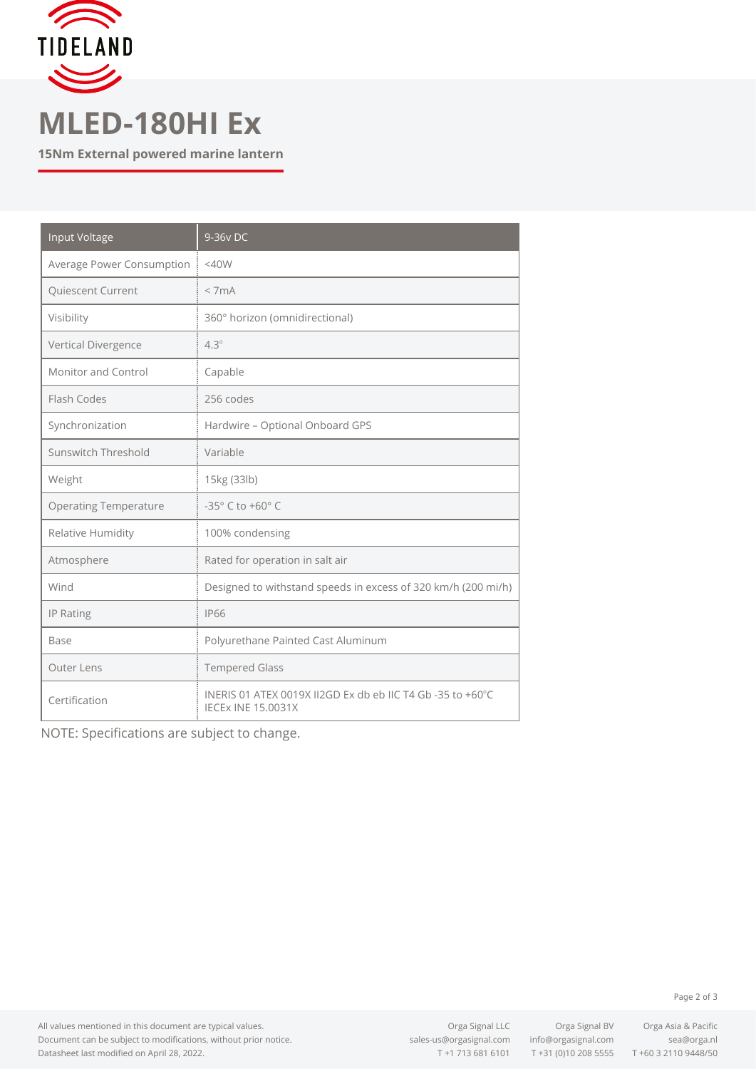

## **MLED-180HI Ex**

**15Nm External powered marine lantern**

| <b>Input Voltage</b>         | 9-36v DC                                                                                |
|------------------------------|-----------------------------------------------------------------------------------------|
| Average Power Consumption    | $<$ 40W                                                                                 |
| Quiescent Current            | < 7mA                                                                                   |
| Visibility                   | 360° horizon (omnidirectional)                                                          |
| Vertical Divergence          | $4.3^\circ$                                                                             |
| Monitor and Control          | Capable                                                                                 |
| Flash Codes                  | 256 codes                                                                               |
| Synchronization              | Hardwire - Optional Onboard GPS                                                         |
| Sunswitch Threshold          | Variable                                                                                |
| Weight                       | 15kg (33lb)                                                                             |
| <b>Operating Temperature</b> | -35° C to +60° C                                                                        |
| Relative Humidity            | 100% condensing                                                                         |
| Atmosphere                   | Rated for operation in salt air                                                         |
| Wind                         | Designed to withstand speeds in excess of 320 km/h (200 mi/h)                           |
| IP Rating                    | <b>IP66</b>                                                                             |
| Base                         | Polyurethane Painted Cast Aluminum                                                      |
| Outer Lens                   | <b>Tempered Glass</b>                                                                   |
| Certification                | INERIS 01 ATEX 0019X II2GD Ex db eb IIC T4 Gb -35 to +60°C<br><b>IECEX INE 15.0031X</b> |

NOTE: Specifications are subject to change.

All values mentioned in this document are typical values. Document can be subject to modifications, without prior notice. Datasheet last modified on April 28, 2022.